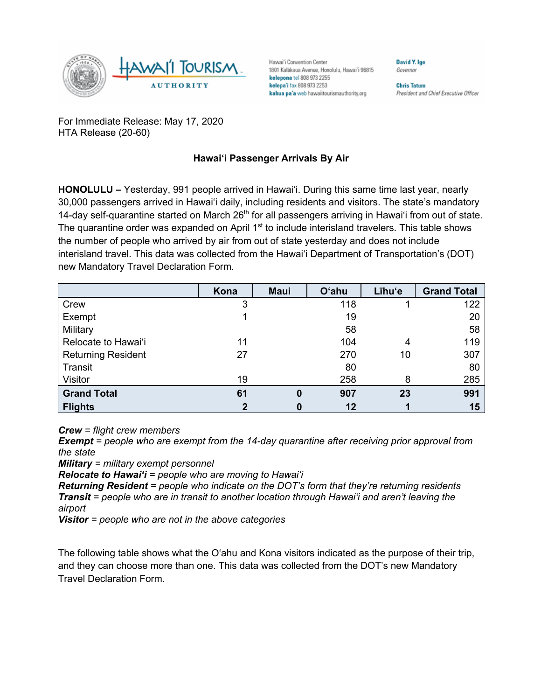

Hawai'i Convention Center 1801 Kalākaua Avenue, Honolulu, Hawai'i 96815 kelepona tel 808 973 2255 kelepa'i fax 808 973 2253 kahua pa'a web hawaiitourismauthority.org

**Chris Tatum** President and Chief Executive Officer

**David V Ine** 

Governor

For Immediate Release: May 17, 2020 HTA Release (20-60)

## **Hawai'i Passenger Arrivals By Air**

**HONOLULU –** Yesterday, 991 people arrived in Hawai'i. During this same time last year, nearly 30,000 passengers arrived in Hawai'i daily, including residents and visitors. The state's mandatory 14-day self-quarantine started on March  $26<sup>th</sup>$  for all passengers arriving in Hawai'i from out of state. The quarantine order was expanded on April 1<sup>st</sup> to include interisland travelers. This table shows the number of people who arrived by air from out of state yesterday and does not include interisland travel. This data was collected from the Hawai'i Department of Transportation's (DOT) new Mandatory Travel Declaration Form.

|                           | Kona        | <b>Maui</b> | <b>O'ahu</b> | Līhu'e | <b>Grand Total</b> |
|---------------------------|-------------|-------------|--------------|--------|--------------------|
| Crew                      | 3           |             | 118          |        | 122                |
| Exempt                    |             |             | 19           |        | 20                 |
| Military                  |             |             | 58           |        | 58                 |
| Relocate to Hawai'i       | 11          |             | 104          | 4      | 119                |
| <b>Returning Resident</b> | 27          |             | 270          | 10     | 307                |
| Transit                   |             |             | 80           |        | 80                 |
| Visitor                   | 19          |             | 258          | 8      | 285                |
| <b>Grand Total</b>        | 61          | 0           | 907          | 23     | 991                |
| <b>Flights</b>            | $\mathbf 2$ | 0           | $12 \,$      |        | 15                 |

*Crew = flight crew members*

*Exempt = people who are exempt from the 14-day quarantine after receiving prior approval from the state*

*Military = military exempt personnel*

*Relocate to Hawai'i = people who are moving to Hawai'i*

*Returning Resident = people who indicate on the DOT's form that they're returning residents Transit = people who are in transit to another location through Hawai'i and aren't leaving the airport*

*Visitor = people who are not in the above categories*

The following table shows what the O'ahu and Kona visitors indicated as the purpose of their trip, and they can choose more than one. This data was collected from the DOT's new Mandatory Travel Declaration Form.